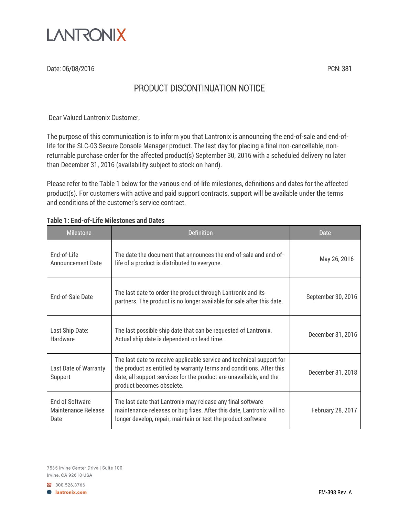

Date: 06/08/2016 **PCN: 381** 

## PRODUCT DISCONTINUATION NOTICE

Dear Valued Lantronix Customer,

The purpose of this communication is to inform you that Lantronix is announcing the end-of-sale and end-oflife for the SLC-03 Secure Console Manager product. The last day for placing a final non-cancellable, nonreturnable purchase order for the affected product(s) September 30, 2016 with a scheduled delivery no later than December 31, 2016 (availability subject to stock on hand).

Please refer to the Table 1 below for the various end-of-life milestones, definitions and dates for the affected product(s). For customers with active and paid support contracts, support will be available under the terms and conditions of the customer's service contract.

| <b>Milestone</b>                                      | Definition                                                                                                                                                                                                                                        | Date               |
|-------------------------------------------------------|---------------------------------------------------------------------------------------------------------------------------------------------------------------------------------------------------------------------------------------------------|--------------------|
| <b>End-of-Life</b><br><b>Announcement Date</b>        | The date the document that announces the end-of-sale and end-of-<br>life of a product is distributed to everyone.                                                                                                                                 | May 26, 2016       |
| <b>End-of-Sale Date</b>                               | The last date to order the product through Lantronix and its<br>partners. The product is no longer available for sale after this date.                                                                                                            | September 30, 2016 |
| Last Ship Date:<br>Hardware                           | The last possible ship date that can be requested of Lantronix.<br>Actual ship date is dependent on lead time.                                                                                                                                    | December 31, 2016  |
| Last Date of Warranty<br>Support                      | The last date to receive applicable service and technical support for<br>the product as entitled by warranty terms and conditions. After this<br>date, all support services for the product are unavailable, and the<br>product becomes obsolete. | December 31, 2018  |
| <b>End of Software</b><br>Maintenance Release<br>Date | The last date that Lantronix may release any final software<br>maintenance releases or bug fixes. After this date, Lantronix will no<br>longer develop, repair, maintain or test the product software                                             |                    |

## **Table 1: End-of-Life Milestones and Dates**

7535 Irvine Center Drive | Suite 100 Irvine, CA 92618 USA

800.526.8766 **B** lantronix.com